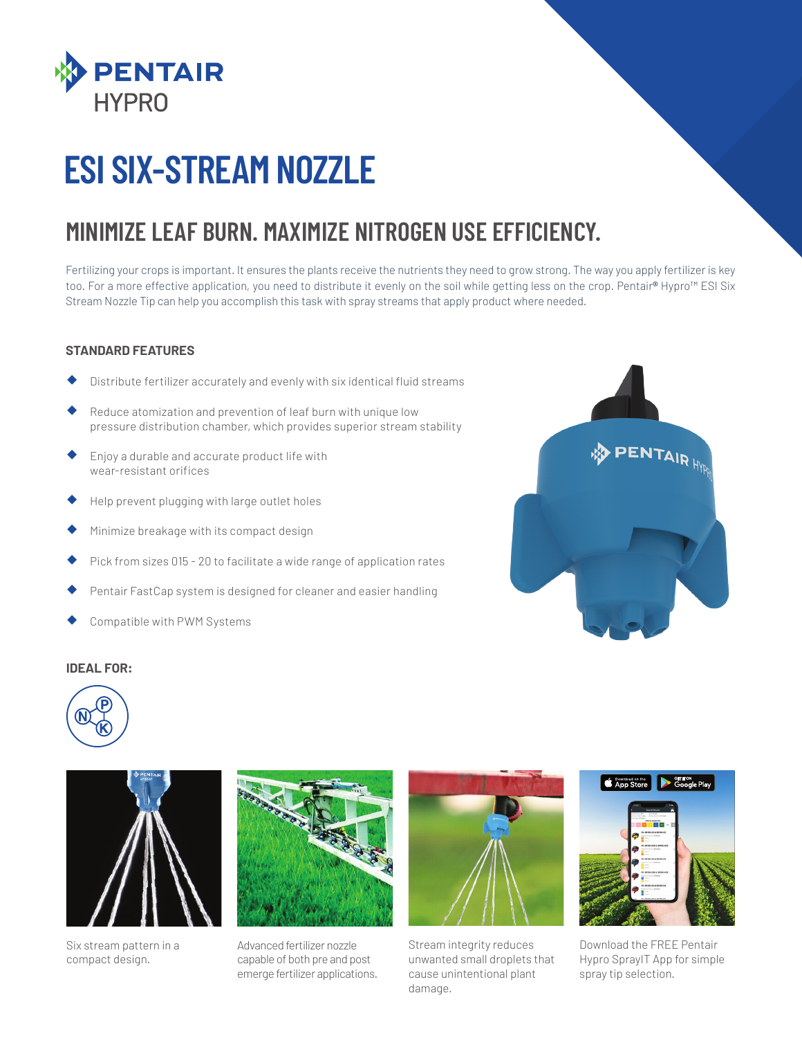

## **ESI SIX-STREAM NOZZLE**

### **MINIMIZE LEAF BURN. MAXIMIZE NITROGEN USE EFFICIENCY.**

Fertilizing your crops is important. It ensures the plants receive the nutrients they need to grow strong. The way you apply fertilizer is key too. For a more effective application, you need to distribute it evenly on the soil while getting less on the crop. Pentair**®** Hypro™ ESI Six Stream Nozzle Tip can help you accomplish this task with spray streams that apply product where needed.

#### **STANDARD FEATURES**

- Distribute fertilizer accurately and evenly with six identical fluid streams
- Reduce atomization and prevention of leaf burn with unique low pressure distribution chamber, which provides superior stream stability
- � Enjoy a durable and accurate product life with wear-resistant orifices
- � Help prevent plugging with large outlet holes
- Minimize breakage with its compact design
- Pick from sizes 015 20 to facilitate a wide range of application rates
- Pentair FastCap system is designed for cleaner and easier handling
- Compatible with PWM Systems







Six stream pattern in a compact design.



Advanced fertilizer nozzle capable of both pre and post emerge fertilizer applications.



Stream integrity reduces unwanted small droplets that cause unintentional plant damage.



Download the FREE Pentair Hypro SprayIT App for simple spray tip selection.